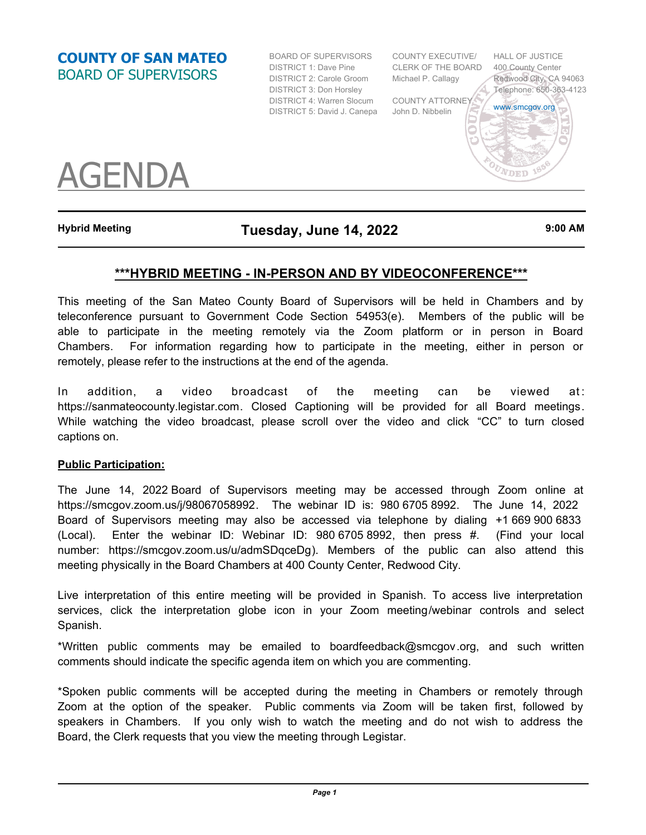**COUNTY OF SAN MATEO** BOARD OF SUPERVISORS

BOARD OF SUPERVISORS DISTRICT 1: Dave Pine DISTRICT 2: Carole Groom Michael P. Callagy DISTRICT 3: Don Horsley DISTRICT 4: Warren Slocum COUNTY ATTORNEY DISTRICT 5: David J. Canepa John D. Nibbelin

COUNTY EXECUTIVE/ CLERK OF THE BOARD



AGENDA

# **Hybrid Meeting Tuesday, June 14, 2022 9:00 AM**

## **\*\*\*HYBRID MEETING - IN-PERSON AND BY VIDEOCONFERENCE\*\*\***

This meeting of the San Mateo County Board of Supervisors will be held in Chambers and by teleconference pursuant to Government Code Section 54953(e). Members of the public will be able to participate in the meeting remotely via the Zoom platform or in person in Board Chambers. For information regarding how to participate in the meeting, either in person or remotely, please refer to the instructions at the end of the agenda.

In addition, a video broadcast of the meeting can be viewed at: https://sanmateocounty.legistar.com. Closed Captioning will be provided for all Board meetings. While watching the video broadcast, please scroll over the video and click "CC" to turn closed captions on.

### **Public Participation:**

The June 14, 2022 Board of Supervisors meeting may be accessed through Zoom online at https://smcgov.zoom.us/j/98067058992. The webinar ID is: 980 6705 8992. The June 14, 2022 Board of Supervisors meeting may also be accessed via telephone by dialing +1 669 900 6833 (Local). Enter the webinar ID: Webinar ID: 980 6705 8992, then press #. (Find your local number: https://smcgov.zoom.us/u/admSDqceDg). Members of the public can also attend this meeting physically in the Board Chambers at 400 County Center, Redwood City.

Live interpretation of this entire meeting will be provided in Spanish. To access live interpretation services, click the interpretation globe icon in your Zoom meeting/webinar controls and select Spanish.

\*Written public comments may be emailed to boardfeedback@smcgov.org, and such written comments should indicate the specific agenda item on which you are commenting.

\*Spoken public comments will be accepted during the meeting in Chambers or remotely through Zoom at the option of the speaker. Public comments via Zoom will be taken first, followed by speakers in Chambers. If you only wish to watch the meeting and do not wish to address the Board, the Clerk requests that you view the meeting through Legistar.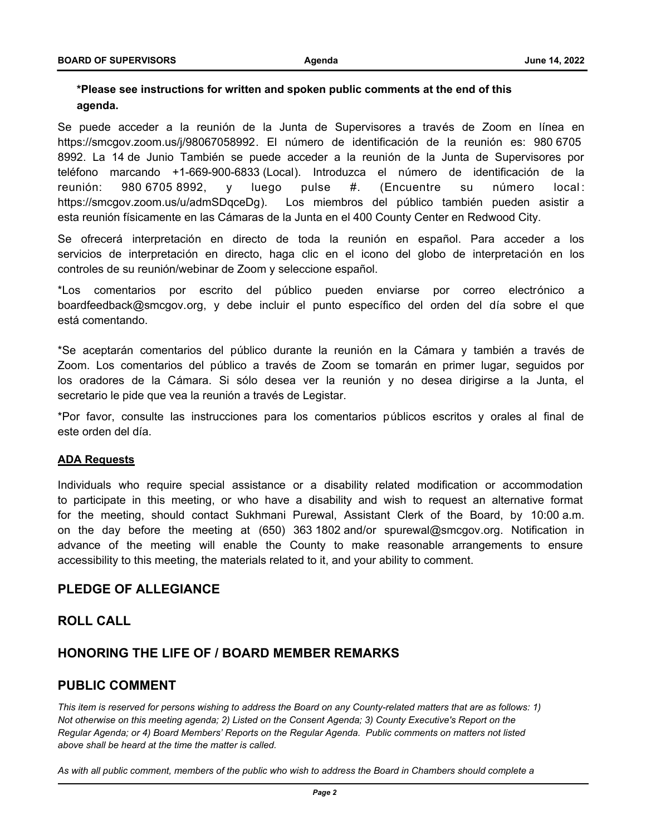### **\*Please see instructions for written and spoken public comments at the end of this agenda.**

Se puede acceder a la reunión de la Junta de Supervisores a través de Zoom en línea en https://smcgov.zoom.us/j/98067058992. El número de identificación de la reunión es: 980 6705 8992. La 14 de Junio También se puede acceder a la reunión de la Junta de Supervisores por teléfono marcando +1-669-900-6833 (Local). Introduzca el número de identificación de la reunión: 980 6705 8992, y luego pulse #. (Encuentre su número local : https://smcgov.zoom.us/u/admSDqceDg). Los miembros del público también pueden asistir a esta reunión físicamente en las Cámaras de la Junta en el 400 County Center en Redwood City.

Se ofrecerá interpretación en directo de toda la reunión en español. Para acceder a los servicios de interpretación en directo, haga clic en el icono del globo de interpretación en los controles de su reunión/webinar de Zoom y seleccione español.

\*Los comentarios por escrito del público pueden enviarse por correo electrónico a boardfeedback@smcgov.org, y debe incluir el punto específico del orden del día sobre el que está comentando.

\*Se aceptarán comentarios del público durante la reunión en la Cámara y también a través de Zoom. Los comentarios del público a través de Zoom se tomarán en primer lugar, seguidos por los oradores de la Cámara. Si sólo desea ver la reunión y no desea dirigirse a la Junta, el secretario le pide que vea la reunión a través de Legistar.

\*Por favor, consulte las instrucciones para los comentarios públicos escritos y orales al final de este orden del día.

#### **ADA Requests**

Individuals who require special assistance or a disability related modification or accommodation to participate in this meeting, or who have a disability and wish to request an alternative format for the meeting, should contact Sukhmani Purewal, Assistant Clerk of the Board, by 10:00 a.m. on the day before the meeting at (650) 363 1802 and/or spurewal@smcgov.org. Notification in advance of the meeting will enable the County to make reasonable arrangements to ensure accessibility to this meeting, the materials related to it, and your ability to comment.

### **PLEDGE OF ALLEGIANCE**

### **ROLL CALL**

#### **HONORING THE LIFE OF / BOARD MEMBER REMARKS**

### **PUBLIC COMMENT**

*This item is reserved for persons wishing to address the Board on any County-related matters that are as follows: 1) Not otherwise on this meeting agenda; 2) Listed on the Consent Agenda; 3) County Executive's Report on the Regular Agenda; or 4) Board Members' Reports on the Regular Agenda. Public comments on matters not listed above shall be heard at the time the matter is called.* 

*As with all public comment, members of the public who wish to address the Board in Chambers should complete a*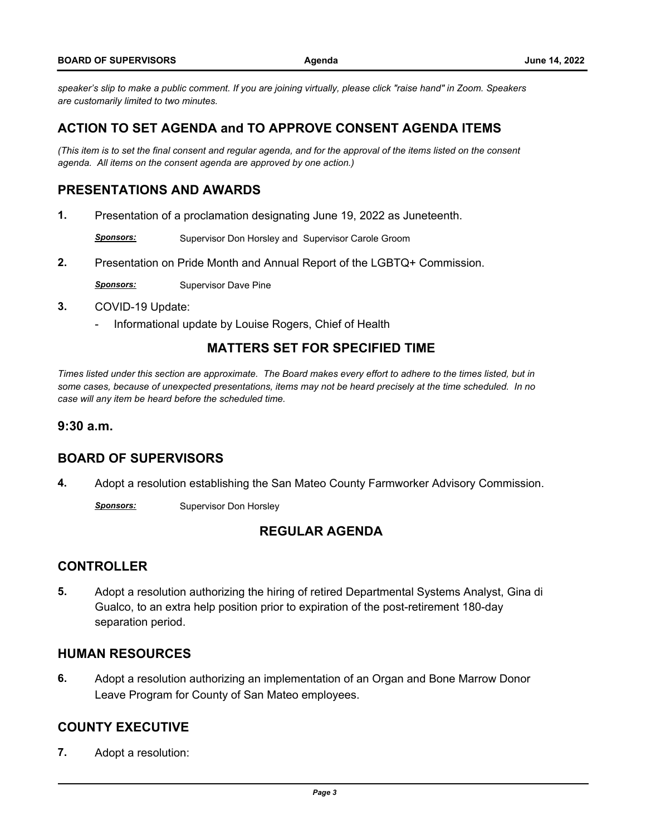*speaker's slip to make a public comment. If you are joining virtually, please click "raise hand" in Zoom. Speakers are customarily limited to two minutes.*

## **ACTION TO SET AGENDA and TO APPROVE CONSENT AGENDA ITEMS**

*(This item is to set the final consent and regular agenda, and for the approval of the items listed on the consent agenda. All items on the consent agenda are approved by one action.)*

# **PRESENTATIONS AND AWARDS**

**1.** [Presentation of a proclamation designating June 19, 2022 as Juneteenth.](http://sanmateocounty.legistar.com/gateway.aspx?m=l&id=/matter.aspx?key=89856)

**Sponsors:** Supervisor Don Horsley and Supervisor Carole Groom

**2.** [Presentation on Pride Month and Annual Report of the LGBTQ+ Commission.](http://sanmateocounty.legistar.com/gateway.aspx?m=l&id=/matter.aspx?key=89879)

**Sponsors:** Supervisor Dave Pine

- **3.** COVID-19 Update:
	- [Informational update by Louise Rogers, Chief of Health](http://sanmateocounty.legistar.com/gateway.aspx?m=l&id=/matter.aspx?key=89450)

## **MATTERS SET FOR SPECIFIED TIME**

*Times listed under this section are approximate. The Board makes every effort to adhere to the times listed, but in some cases, because of unexpected presentations, items may not be heard precisely at the time scheduled. In no case will any item be heard before the scheduled time.*

#### **9:30 a.m.**

## **BOARD OF SUPERVISORS**

**4.** [Adopt a resolution establishing the San Mateo County Farmworker Advisory Commission.](http://sanmateocounty.legistar.com/gateway.aspx?m=l&id=/matter.aspx?key=89918)

**Sponsors:** Supervisor Don Horsley

## **REGULAR AGENDA**

### **CONTROLLER**

**5.** [Adopt a resolution authorizing the hiring of retired Departmental Systems Analyst, Gina di](http://sanmateocounty.legistar.com/gateway.aspx?m=l&id=/matter.aspx?key=89800)  Gualco, to an extra help position prior to expiration of the post-retirement 180-day separation period.

### **HUMAN RESOURCES**

**6.** [Adopt a resolution authorizing an implementation of an Organ and Bone Marrow Donor](http://sanmateocounty.legistar.com/gateway.aspx?m=l&id=/matter.aspx?key=89904)  Leave Program for County of San Mateo employees.

### **COUNTY EXECUTIVE**

**7.** [Adopt a resolution:](http://sanmateocounty.legistar.com/gateway.aspx?m=l&id=/matter.aspx?key=89894)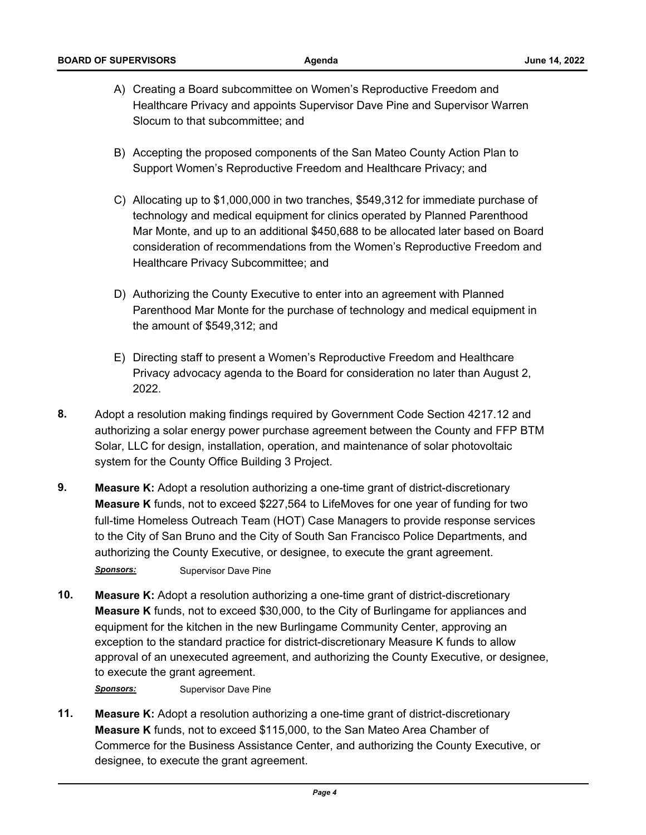- A) Creating a Board subcommittee on Women's Reproductive Freedom and Healthcare Privacy and appoints Supervisor Dave Pine and Supervisor Warren Slocum to that subcommittee; and
- B) Accepting the proposed components of the San Mateo County Action Plan to Support Women's Reproductive Freedom and Healthcare Privacy; and
- C) Allocating up to \$1,000,000 in two tranches, \$549,312 for immediate purchase of technology and medical equipment for clinics operated by Planned Parenthood [Mar Monte, and up to an additional \\$450,688 to be allocated later based on Board](http://sanmateocounty.legistar.com/gateway.aspx?m=l&id=/matter.aspx?key=89894)  consideration of recommendations from the Women's Reproductive Freedom and Healthcare Privacy Subcommittee; and
- D) Authorizing the County Executive to enter into an agreement with Planned Parenthood Mar Monte for the purchase of technology and medical equipment in the amount of \$549,312; and
- E) Directing staff to present a Women's Reproductive Freedom and Healthcare Privacy advocacy agenda to the Board for consideration no later than August 2, 2022.
- **8.** Adopt a resolution making findings required by Government Code Section 4217.12 and [authorizing a solar energy power purchase agreement between the County and FFP BTM](http://sanmateocounty.legistar.com/gateway.aspx?m=l&id=/matter.aspx?key=89368)  Solar, LLC for design, installation, operation, and maintenance of solar photovoltaic system for the County Office Building 3 Project.
- **9. Measure K:** Adopt a resolution authorizing a one-time grant of district-discretionary **Measure K** funds, not to exceed \$227,564 to LifeMoves for one year of funding for two [full-time Homeless Outreach Team \(HOT\) Case Managers to provide response services](http://sanmateocounty.legistar.com/gateway.aspx?m=l&id=/matter.aspx?key=89905)  to the City of San Bruno and the City of South San Francisco Police Departments, and authorizing the County Executive, or designee, to execute the grant agreement.

**Sponsors:** Supervisor Dave Pine

**10. Measure K:** Adopt a resolution authorizing a one-time grant of district-discretionary **Measure K** funds, not to exceed \$30,000, to the City of Burlingame for appliances and equipment for the kitchen in the new Burlingame Community Center, approving an exception to the standard practice for district-discretionary Measure K funds to allow [approval of an unexecuted agreement, and authorizing the County Executive, or designee,](http://sanmateocounty.legistar.com/gateway.aspx?m=l&id=/matter.aspx?key=89907)  to execute the grant agreement.

**Sponsors:** Supervisor Dave Pine

**11. Measure K:** Adopt a resolution authorizing a one-time grant of district-discretionary **Measure K** funds, not to exceed \$115,000, to the San Mateo Area Chamber of [Commerce for the Business Assistance Center, and authorizing the County Executive, or](http://sanmateocounty.legistar.com/gateway.aspx?m=l&id=/matter.aspx?key=89830)  designee, to execute the grant agreement.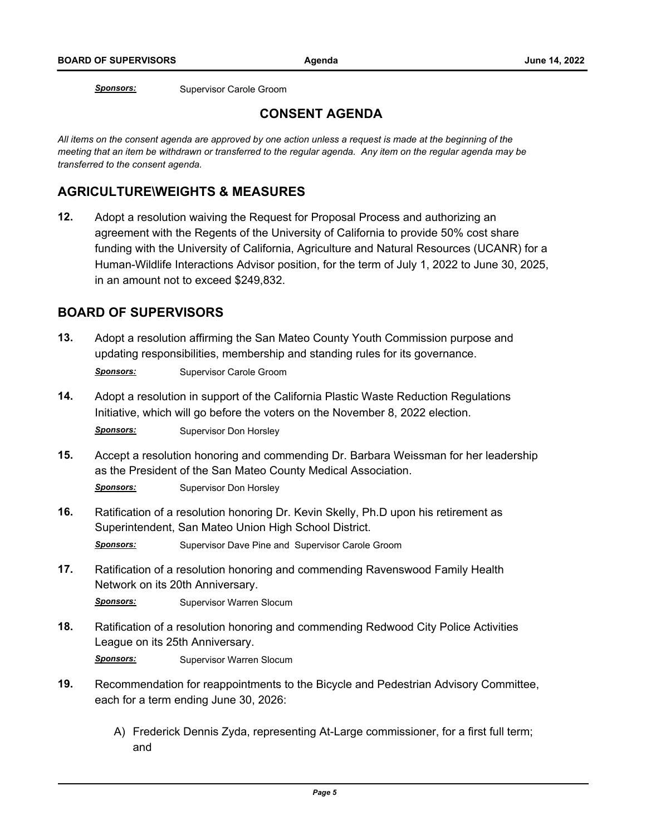**Sponsors:** Supervisor Carole Groom

# **CONSENT AGENDA**

*All items on the consent agenda are approved by one action unless a request is made at the beginning of the meeting that an item be withdrawn or transferred to the regular agenda. Any item on the regular agenda may be transferred to the consent agenda.*

## **AGRICULTURE\WEIGHTS & MEASURES**

**12.** Adopt a resolution waiving the Request for Proposal Process and authorizing an agreement with the Regents of the University of California to provide 50% cost share funding with the University of California, Agriculture and Natural Resources (UCANR) for a [Human-Wildlife Interactions Advisor position, for the term of July 1, 2022 to June 30, 2025,](http://sanmateocounty.legistar.com/gateway.aspx?m=l&id=/matter.aspx?key=89702)  in an amount not to exceed \$249,832.

## **BOARD OF SUPERVISORS**

**13.** [Adopt a resolution affirming the San Mateo County Youth Commission purpose and](http://sanmateocounty.legistar.com/gateway.aspx?m=l&id=/matter.aspx?key=89835)  updating responsibilities, membership and standing rules for its governance.

**Sponsors:** Supervisor Carole Groom

- **14.** [Adopt a resolution in support of the California Plastic Waste Reduction Regulations](http://sanmateocounty.legistar.com/gateway.aspx?m=l&id=/matter.aspx?key=89403)  Initiative, which will go before the voters on the November 8, 2022 election. *Sponsors:* Supervisor Don Horsley
- **15.** [Accept a resolution honoring and commending Dr. Barbara Weissman for her leadership](http://sanmateocounty.legistar.com/gateway.aspx?m=l&id=/matter.aspx?key=89934)  as the President of the San Mateo County Medical Association.

**Sponsors:** Supervisor Don Horsley

- **16.** [Ratification of a resolution honoring Dr. Kevin Skelly, Ph.D upon his retirement as](http://sanmateocounty.legistar.com/gateway.aspx?m=l&id=/matter.aspx?key=89908)  Superintendent, San Mateo Union High School District. **Sponsors:** Supervisor Dave Pine and Supervisor Carole Groom
- **17.** [Ratification of a resolution honoring and commending Ravenswood Family Health](http://sanmateocounty.legistar.com/gateway.aspx?m=l&id=/matter.aspx?key=89831)  Network on its 20th Anniversary.

**Sponsors:** Supervisor Warren Slocum

**18.** [Ratification of a resolution honoring and commending Redwood City Police Activities](http://sanmateocounty.legistar.com/gateway.aspx?m=l&id=/matter.aspx?key=89832)  League on its 25th Anniversary.

**Sponsors:** Supervisor Warren Slocum

- **19.** [Recommendation for reappointments to the Bicycle and Pedestrian Advisory Committee,](http://sanmateocounty.legistar.com/gateway.aspx?m=l&id=/matter.aspx?key=89704)  each for a term ending June 30, 2026:
	- A) Frederick Dennis Zyda, representing At-Large commissioner, for a first full term; and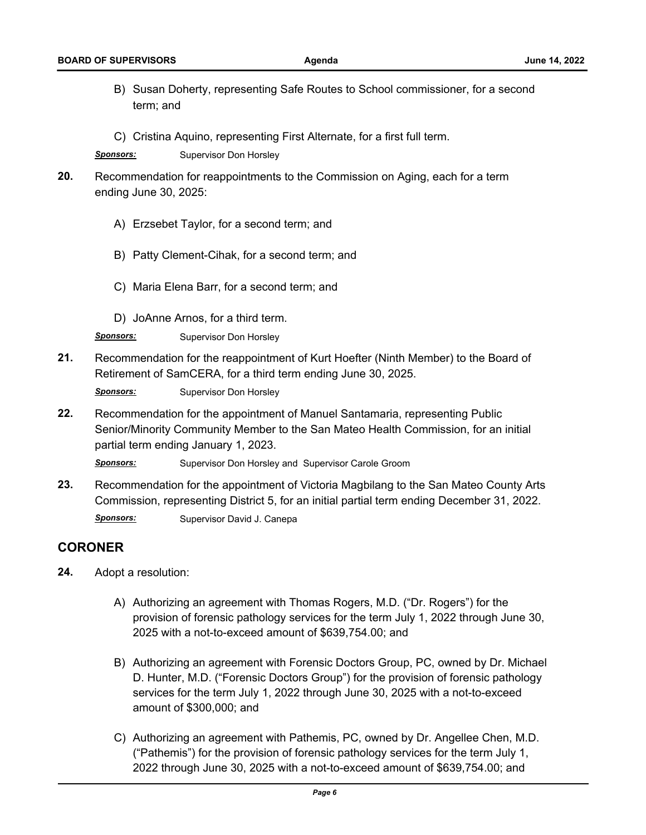- B) [Susan Doherty, representing Safe Routes to School commissioner, for a second](http://sanmateocounty.legistar.com/gateway.aspx?m=l&id=/matter.aspx?key=89704)  term; and
- C) Cristina Aquino, representing First Alternate, for a first full term.

**Sponsors:** Supervisor Don Horsley

- **20.** [Recommendation for reappointments to the Commission on Aging, each for a term](http://sanmateocounty.legistar.com/gateway.aspx?m=l&id=/matter.aspx?key=89920)  ending June 30, 2025:
	- A) Erzsebet Taylor, for a second term; and
	- B) Patty Clement-Cihak, for a second term; and
	- C) Maria Elena Barr, for a second term; and
	- D) JoAnne Arnos, for a third term.

*Sponsors:* Supervisor Don Horsley

**21.** [Recommendation for the reappointment of Kurt Hoefter \(Ninth Member\) to the Board of](http://sanmateocounty.legistar.com/gateway.aspx?m=l&id=/matter.aspx?key=89882)  Retirement of SamCERA, for a third term ending June 30, 2025.

**Sponsors:** Supervisor Don Horsley

**22.** Recommendation for the appointment of Manuel Santamaria, representing Public [Senior/Minority Community Member to the San Mateo Health Commission, for an initial](http://sanmateocounty.legistar.com/gateway.aspx?m=l&id=/matter.aspx?key=89903)  partial term ending January 1, 2023.

Sponsors: Supervisor Don Horsley and Supervisor Carole Groom

**23.** [Recommendation for the appointment of Victoria Magbilang to the San Mateo County Arts](http://sanmateocounty.legistar.com/gateway.aspx?m=l&id=/matter.aspx?key=89906)  Commission, representing District 5, for an initial partial term ending December 31, 2022. **Sponsors:** Supervisor David J. Canepa

**CORONER**

- **24.** Adopt a resolution:
	- A) Authorizing an agreement with Thomas Rogers, M.D. ("Dr. Rogers") for the provision of forensic pathology services for the term July 1, 2022 through June 30, 2025 with a not-to-exceed amount of \$639,754.00; and
	- B) [Authorizing an agreement with Forensic Doctors Group, PC, owned by Dr. Michael](http://sanmateocounty.legistar.com/gateway.aspx?m=l&id=/matter.aspx?key=89837)  D. Hunter, M.D. ("Forensic Doctors Group") for the provision of forensic pathology services for the term July 1, 2022 through June 30, 2025 with a not-to-exceed amount of \$300,000; and
	- C) Authorizing an agreement with Pathemis, PC, owned by Dr. Angellee Chen, M.D. ("Pathemis") for the provision of forensic pathology services for the term July 1, 2022 through June 30, 2025 with a not-to-exceed amount of \$639,754.00; and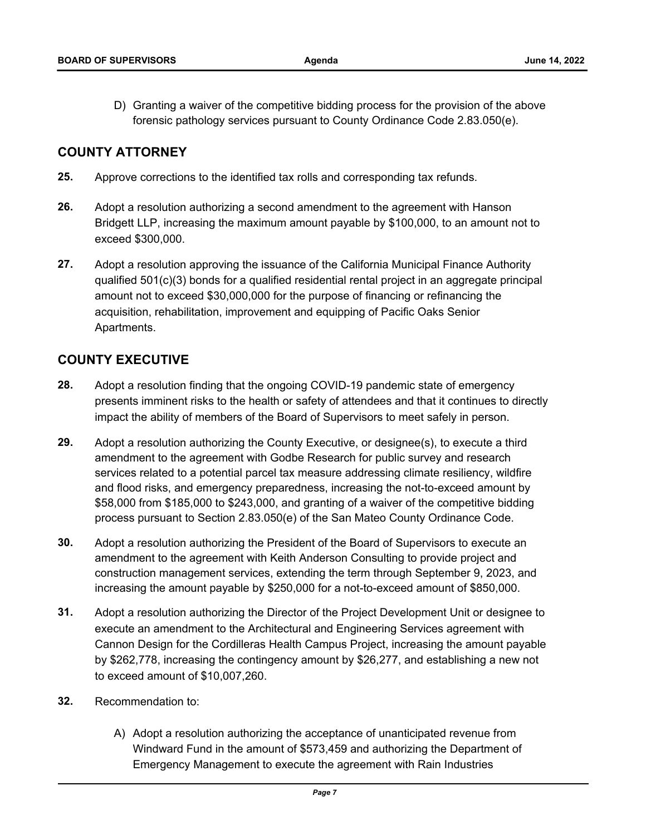D) [Granting a waiver of the competitive bidding process for the provision of the above](http://sanmateocounty.legistar.com/gateway.aspx?m=l&id=/matter.aspx?key=89837)  forensic pathology services pursuant to County Ordinance Code 2.83.050(e).

### **COUNTY ATTORNEY**

- **25.** [Approve corrections to the identified tax rolls and corresponding tax refunds.](http://sanmateocounty.legistar.com/gateway.aspx?m=l&id=/matter.aspx?key=89861)
- **26.** Adopt a resolution authorizing a second amendment to the agreement with Hanson [Bridgett LLP, increasing the maximum amount payable by \\$100,000, to an amount not to](http://sanmateocounty.legistar.com/gateway.aspx?m=l&id=/matter.aspx?key=89871)  exceed \$300,000.
- **27.** Adopt a resolution approving the issuance of the California Municipal Finance Authority [qualified 501\(c\)\(3\) bonds for a qualified residential rental project in an aggregate principal](http://sanmateocounty.legistar.com/gateway.aspx?m=l&id=/matter.aspx?key=89913)  amount not to exceed \$30,000,000 for the purpose of financing or refinancing the acquisition, rehabilitation, improvement and equipping of Pacific Oaks Senior Apartments.

## **COUNTY EXECUTIVE**

- **28.** Adopt a resolution finding that the ongoing COVID-19 pandemic state of emergency [presents imminent risks to the health or safety of attendees and that it continues to directly](http://sanmateocounty.legistar.com/gateway.aspx?m=l&id=/matter.aspx?key=89945)  impact the ability of members of the Board of Supervisors to meet safely in person.
- **29.** Adopt a resolution authorizing the County Executive, or designee(s), to execute a third amendment to the agreement with Godbe Research for public survey and research services related to a potential parcel tax measure addressing climate resiliency, wildfire and flood risks, and emergency preparedness, increasing the not-to-exceed amount by [\\$58,000 from \\$185,000 to \\$243,000, and granting of a waiver of the competitive bidding](http://sanmateocounty.legistar.com/gateway.aspx?m=l&id=/matter.aspx?key=89949)  process pursuant to Section 2.83.050(e) of the San Mateo County Ordinance Code.
- **30.** Adopt a resolution authorizing the President of the Board of Supervisors to execute an amendment to the agreement with Keith Anderson Consulting to provide project and [construction management services, extending the term through September 9, 2023, and](http://sanmateocounty.legistar.com/gateway.aspx?m=l&id=/matter.aspx?key=89825)  increasing the amount payable by \$250,000 for a not-to-exceed amount of \$850,000.
- **31.** Adopt a resolution authorizing the Director of the Project Development Unit or designee to execute an amendment to the Architectural and Engineering Services agreement with [Cannon Design for the Cordilleras Health Campus Project, increasing the amount payable](http://sanmateocounty.legistar.com/gateway.aspx?m=l&id=/matter.aspx?key=89868)  by \$262,778, increasing the contingency amount by \$26,277, and establishing a new not to exceed amount of \$10,007,260.
- **32.** Recommendation to:
	- A) Adopt a resolution authorizing the acceptance of unanticipated revenue from [Windward Fund in the amount of \\$573,459 and authorizing the Department of](http://sanmateocounty.legistar.com/gateway.aspx?m=l&id=/matter.aspx?key=89933)  Emergency Management to execute the agreement with Rain Industries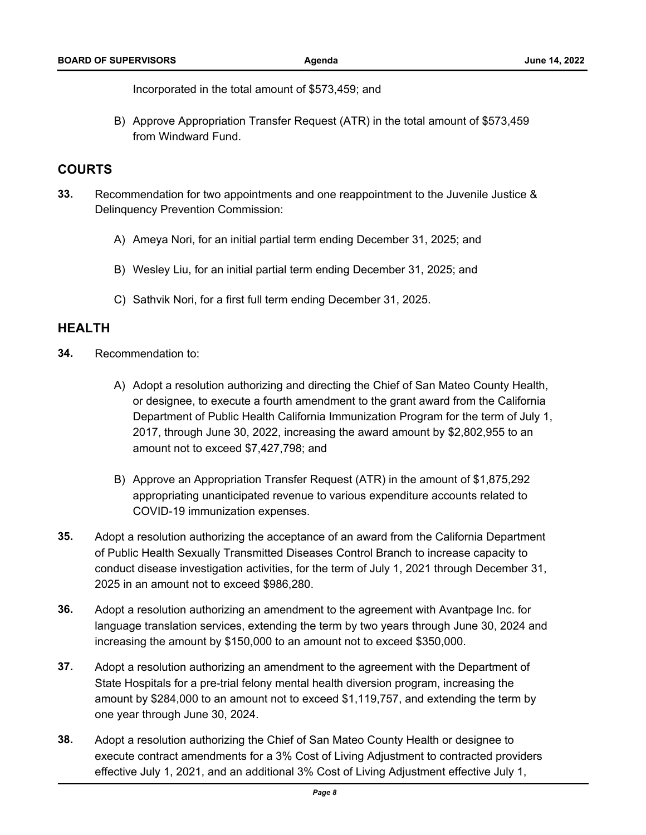Incorporated in the total amount of \$573,459; and

B) [Approve Appropriation Transfer Request \(ATR\) in the total amount of \\$573,459](http://sanmateocounty.legistar.com/gateway.aspx?m=l&id=/matter.aspx?key=89933)  from Windward Fund.

### **COURTS**

- **33.** [Recommendation for two appointments and one reappointment to the Juvenile Justice &](http://sanmateocounty.legistar.com/gateway.aspx?m=l&id=/matter.aspx?key=89939)  Delinquency Prevention Commission:
	- A) Ameya Nori, for an initial partial term ending December 31, 2025; and
	- B) Wesley Liu, for an initial partial term ending December 31, 2025; and
	- C) Sathvik Nori, for a first full term ending December 31, 2025.

### **HEALTH**

- **34.** Recommendation to:
	- A) Adopt a resolution authorizing and directing the Chief of San Mateo County Health, or designee, to execute a fourth amendment to the grant award from the California [Department of Public Health California Immunization Program for the term of July 1,](http://sanmateocounty.legistar.com/gateway.aspx?m=l&id=/matter.aspx?key=89730)  2017, through June 30, 2022, increasing the award amount by \$2,802,955 to an amount not to exceed \$7,427,798; and
	- B) Approve an Appropriation Transfer Request (ATR) in the amount of \$1,875,292 appropriating unanticipated revenue to various expenditure accounts related to COVID-19 immunization expenses.
- **35.** Adopt a resolution authorizing the acceptance of an award from the California Department of Public Health Sexually Transmitted Diseases Control Branch to increase capacity to [conduct disease investigation activities, for the term of July 1, 2021 through December 31,](http://sanmateocounty.legistar.com/gateway.aspx?m=l&id=/matter.aspx?key=89851)  2025 in an amount not to exceed \$986,280.
- **36.** Adopt a resolution authorizing an amendment to the agreement with Avantpage Inc. for [language translation services, extending the term by two years through June 30, 2024 and](http://sanmateocounty.legistar.com/gateway.aspx?m=l&id=/matter.aspx?key=89853)  increasing the amount by \$150,000 to an amount not to exceed \$350,000.
- **37.** Adopt a resolution authorizing an amendment to the agreement with the Department of State Hospitals for a pre-trial felony mental health diversion program, increasing the [amount by \\$284,000 to an amount not to exceed \\$1,119,757, and extending the term by](http://sanmateocounty.legistar.com/gateway.aspx?m=l&id=/matter.aspx?key=89843)  one year through June 30, 2024.
- **38.** Adopt a resolution authorizing the Chief of San Mateo County Health or designee to [execute contract amendments for a 3% Cost of Living Adjustment to contracted providers](http://sanmateocounty.legistar.com/gateway.aspx?m=l&id=/matter.aspx?key=89870)  effective July 1, 2021, and an additional 3% Cost of Living Adjustment effective July 1,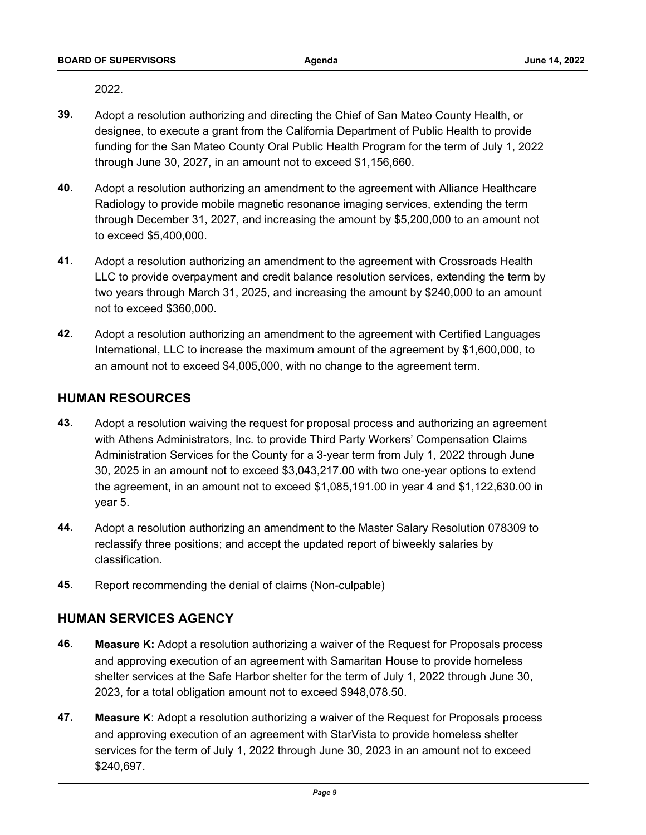[2022.](http://sanmateocounty.legistar.com/gateway.aspx?m=l&id=/matter.aspx?key=89870)

- **39.** Adopt a resolution authorizing and directing the Chief of San Mateo County Health, or designee, to execute a grant from the California Department of Public Health to provide [funding for the San Mateo County Oral Public Health Program for the term of July 1, 2022](http://sanmateocounty.legistar.com/gateway.aspx?m=l&id=/matter.aspx?key=89780)  through June 30, 2027, in an amount not to exceed \$1,156,660.
- **40.** Adopt a resolution authorizing an amendment to the agreement with Alliance Healthcare Radiology to provide mobile magnetic resonance imaging services, extending the term [through December 31, 2027, and increasing the amount by \\$5,200,000 to an amount not](http://sanmateocounty.legistar.com/gateway.aspx?m=l&id=/matter.aspx?key=89595)  to exceed \$5,400,000.
- **41.** Adopt a resolution authorizing an amendment to the agreement with Crossroads Health [LLC to provide overpayment and credit balance resolution services, extending the term by](http://sanmateocounty.legistar.com/gateway.aspx?m=l&id=/matter.aspx?key=89775)  two years through March 31, 2025, and increasing the amount by \$240,000 to an amount not to exceed \$360,000.
- **42.** [Adopt a resolution authorizing an amendment to the agreement with Certified Languages](http://sanmateocounty.legistar.com/gateway.aspx?m=l&id=/matter.aspx?key=89838)  International, LLC to increase the maximum amount of the agreement by \$1,600,000, to an amount not to exceed \$4,005,000, with no change to the agreement term.

## **HUMAN RESOURCES**

- **43.** [Adopt a resolution waiving the request for proposal process and authorizing an agreement](http://sanmateocounty.legistar.com/gateway.aspx?m=l&id=/matter.aspx?key=89865)  with Athens Administrators, Inc. to provide Third Party Workers' Compensation Claims Administration Services for the County for a 3-year term from July 1, 2022 through June 30, 2025 in an amount not to exceed \$3,043,217.00 with two one-year options to extend the agreement, in an amount not to exceed \$1,085,191.00 in year 4 and \$1,122,630.00 in year 5.
- **44.** [Adopt a resolution authorizing an amendment to the Master Salary Resolution 078309 to](http://sanmateocounty.legistar.com/gateway.aspx?m=l&id=/matter.aspx?key=89897)  reclassify three positions; and accept the updated report of biweekly salaries by classification.
- **45.** [Report recommending the denial of claims \(Non-culpable\)](http://sanmateocounty.legistar.com/gateway.aspx?m=l&id=/matter.aspx?key=89864)

## **HUMAN SERVICES AGENCY**

- **46. Measure K:** Adopt a resolution authorizing a waiver of the Request for Proposals process and approving execution of an agreement with Samaritan House to provide homeless [shelter services at the Safe Harbor shelter for the term of July 1, 2022 through June 30,](http://sanmateocounty.legistar.com/gateway.aspx?m=l&id=/matter.aspx?key=89817)  2023, for a total obligation amount not to exceed \$948,078.50.
- **47. Measure K**: Adopt a resolution authorizing a waiver of the Request for Proposals process and approving execution of an agreement with StarVista to provide homeless shelter [services for the term of July 1, 2022 through June 30, 2023 in an amount not to exceed](http://sanmateocounty.legistar.com/gateway.aspx?m=l&id=/matter.aspx?key=89824)  \$240,697.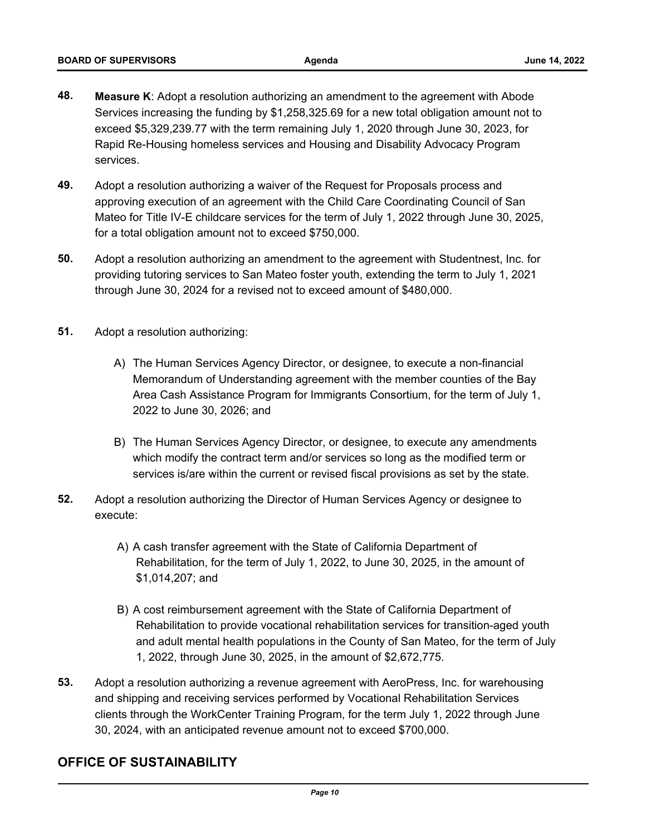- **48. Measure K**: Adopt a resolution authorizing an amendment to the agreement with Abode [Services increasing the funding by \\$1,258,325.69 for a new total obligation amount not to](http://sanmateocounty.legistar.com/gateway.aspx?m=l&id=/matter.aspx?key=89850)  exceed \$5,329,239.77 with the term remaining July 1, 2020 through June 30, 2023, for Rapid Re-Housing homeless services and Housing and Disability Advocacy Program services.
- **49.** Adopt a resolution authorizing a waiver of the Request for Proposals process and approving execution of an agreement with the Child Care Coordinating Council of San [Mateo for Title IV-E childcare services for the term of July 1, 2022 through June 30, 2025,](http://sanmateocounty.legistar.com/gateway.aspx?m=l&id=/matter.aspx?key=89839)  for a total obligation amount not to exceed \$750,000.
- **50.** [Adopt a resolution authorizing an amendment to the agreement with Studentnest, Inc. for](http://sanmateocounty.legistar.com/gateway.aspx?m=l&id=/matter.aspx?key=89840)  providing tutoring services to San Mateo foster youth, extending the term to July 1, 2021 through June 30, 2024 for a revised not to exceed amount of \$480,000.
- **51.** Adopt a resolution authorizing:
	- A) The Human Services Agency Director, or designee, to execute a non-financial Memorandum of Understanding agreement with the member counties of the Bay [Area Cash Assistance Program for Immigrants Consortium, for the term of July 1,](http://sanmateocounty.legistar.com/gateway.aspx?m=l&id=/matter.aspx?key=89845)  2022 to June 30, 2026; and
	- B) The Human Services Agency Director, or designee, to execute any amendments which modify the contract term and/or services so long as the modified term or services is/are within the current or revised fiscal provisions as set by the state.
- **52.** [Adopt a resolution authorizing the Director of Human Services Agency or designee to](http://sanmateocounty.legistar.com/gateway.aspx?m=l&id=/matter.aspx?key=89857)  execute:
	- A) A cash transfer agreement with the State of California Department of Rehabilitation, for the term of July 1, 2022, to June 30, 2025, in the amount of \$1,014,207; and
	- B) A cost reimbursement agreement with the State of California Department of Rehabilitation to provide vocational rehabilitation services for transition-aged youth and adult mental health populations in the County of San Mateo, for the term of July 1, 2022, through June 30, 2025, in the amount of \$2,672,775.
- **53.** [Adopt a resolution authorizing a revenue agreement with AeroPress, Inc. for warehousing](http://sanmateocounty.legistar.com/gateway.aspx?m=l&id=/matter.aspx?key=89867)  and shipping and receiving services performed by Vocational Rehabilitation Services clients through the WorkCenter Training Program, for the term July 1, 2022 through June 30, 2024, with an anticipated revenue amount not to exceed \$700,000.

## **OFFICE OF SUSTAINABILITY**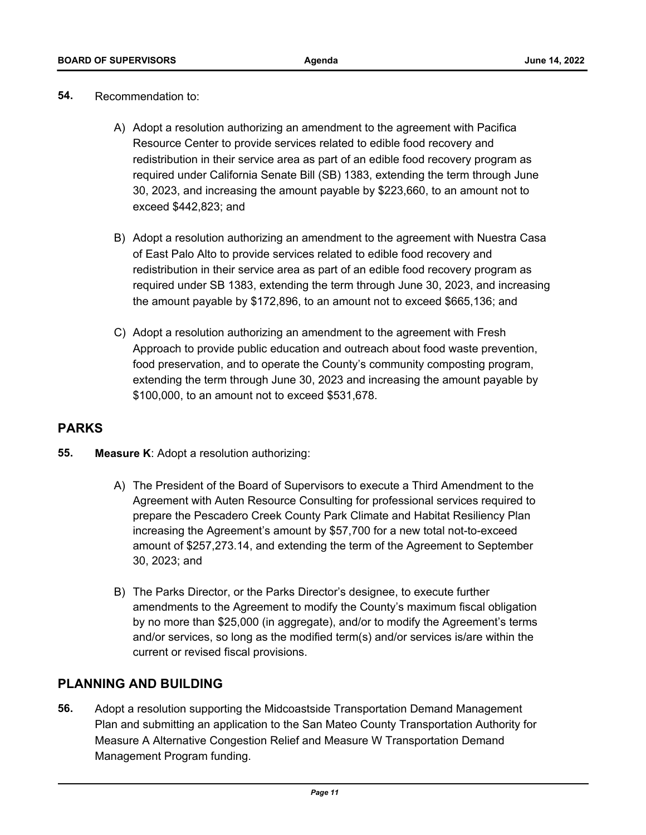- **54.** Recommendation to:
	- A) Adopt a resolution authorizing an amendment to the agreement with Pacifica Resource Center to provide services related to edible food recovery and redistribution in their service area as part of an edible food recovery program as required under California Senate Bill (SB) 1383, extending the term through June 30, 2023, and increasing the amount payable by \$223,660, to an amount not to exceed \$442,823; and
	- B) Adopt a resolution authorizing an amendment to the agreement with Nuestra Casa of East Palo Alto to provide services related to edible food recovery and redistribution in their service area as part of an edible food recovery program as [required under SB 1383, extending the term through June 30, 2023, and increasing](http://sanmateocounty.legistar.com/gateway.aspx?m=l&id=/matter.aspx?key=89866)  the amount payable by \$172,896, to an amount not to exceed \$665,136; and
	- C) Adopt a resolution authorizing an amendment to the agreement with Fresh Approach to provide public education and outreach about food waste prevention, food preservation, and to operate the County's community composting program, extending the term through June 30, 2023 and increasing the amount payable by \$100,000, to an amount not to exceed \$531,678.

# **PARKS**

- **55. Measure K**: Adopt a resolution authorizing:
	- A) The President of the Board of Supervisors to execute a Third Amendment to the Agreement with Auten Resource Consulting for professional services required to prepare the Pescadero Creek County Park Climate and Habitat Resiliency Plan increasing the Agreement's amount by \$57,700 for a new total not-to-exceed amount of \$257,273.14, and extending the term of the Agreement to September 30, 2023; and
	- B) The Parks Director, or the Parks Director's designee, to execute further amendments to the Agreement to modify the County's maximum fiscal obligation [by no more than \\$25,000 \(in aggregate\), and/or to modify the Agreement's terms](http://sanmateocounty.legistar.com/gateway.aspx?m=l&id=/matter.aspx?key=89869)  and/or services, so long as the modified term(s) and/or services is/are within the current or revised fiscal provisions.

## **PLANNING AND BUILDING**

**56.** Adopt a resolution supporting the Midcoastside Transportation Demand Management [Plan and submitting an application to the San Mateo County Transportation Authority for](http://sanmateocounty.legistar.com/gateway.aspx?m=l&id=/matter.aspx?key=89874)  Measure A Alternative Congestion Relief and Measure W Transportation Demand Management Program funding.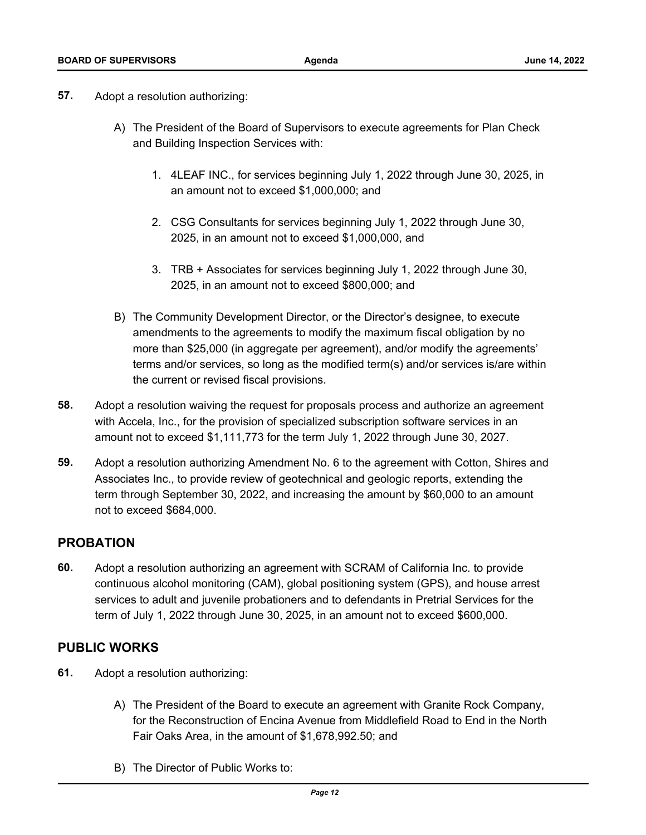- **57.** Adopt a resolution authorizing:
	- A) The President of the Board of Supervisors to execute agreements for Plan Check and Building Inspection Services with:
		- 1. 4LEAF INC., for services beginning July 1, 2022 through June 30, 2025, in an amount not to exceed \$1,000,000; and
		- 2. CSG Consultants for services beginning July 1, 2022 through June 30, 2025, in an amount not to exceed \$1,000,000, and
		- 3. TRB + Associates for services beginning July 1, 2022 through June 30, 2025, in an amount not to exceed \$800,000; and
	- B) The Community Development Director, or the Director's designee, to execute amendments to the agreements to modify the maximum fiscal obligation by no more than \$25,000 (in aggregate per agreement), and/or modify the agreements' [terms and/or services, so long as the modified term\(s\) and/or services is/are within](http://sanmateocounty.legistar.com/gateway.aspx?m=l&id=/matter.aspx?key=89875)  the current or revised fiscal provisions.
- **58.** [Adopt a resolution waiving the request for proposals process and authorize an agreement](http://sanmateocounty.legistar.com/gateway.aspx?m=l&id=/matter.aspx?key=89876)  with Accela, Inc., for the provision of specialized subscription software services in an amount not to exceed \$1,111,773 for the term July 1, 2022 through June 30, 2027.
- **59.** [Adopt a resolution authorizing Amendment No. 6 to the agreement with Cotton, Shires and](http://sanmateocounty.legistar.com/gateway.aspx?m=l&id=/matter.aspx?key=89909)  Associates Inc., to provide review of geotechnical and geologic reports, extending the term through September 30, 2022, and increasing the amount by \$60,000 to an amount not to exceed \$684,000.

## **PROBATION**

**60.** Adopt a resolution authorizing an agreement with SCRAM of California Inc. to provide [continuous alcohol monitoring \(CAM\), global positioning system \(GPS\), and house arrest](http://sanmateocounty.legistar.com/gateway.aspx?m=l&id=/matter.aspx?key=89822)  services to adult and juvenile probationers and to defendants in Pretrial Services for the term of July 1, 2022 through June 30, 2025, in an amount not to exceed \$600,000.

## **PUBLIC WORKS**

- **61.** Adopt a resolution authorizing:
	- A) The President of the Board to execute an agreement with Granite Rock Company, [for the Reconstruction of Encina Avenue from Middlefield Road to End in the North](http://sanmateocounty.legistar.com/gateway.aspx?m=l&id=/matter.aspx?key=89772)  Fair Oaks Area, in the amount of \$1,678,992.50; and
	- B) The Director of Public Works to: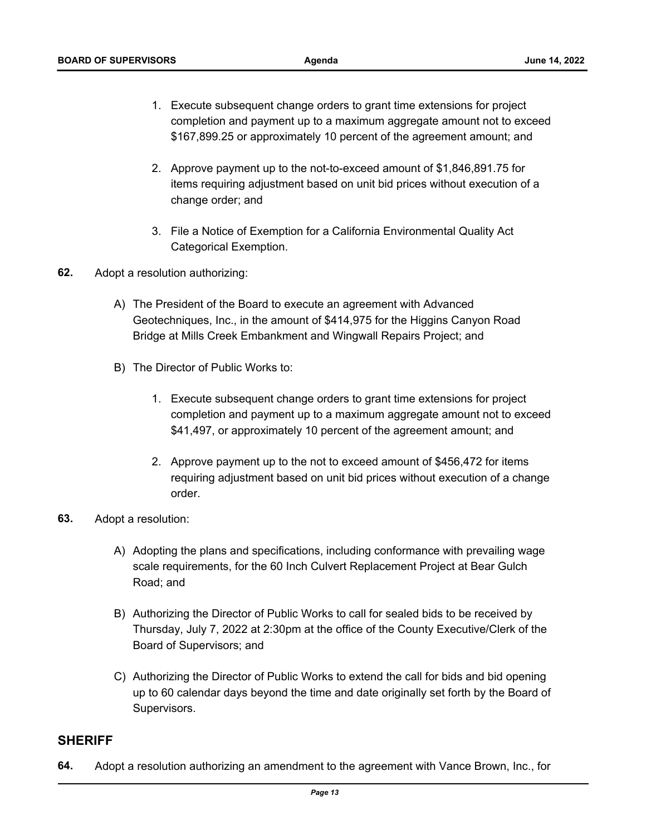- 1. Execute subsequent change orders to grant time extensions for project [completion and payment up to a maximum aggregate amount not to exceed](http://sanmateocounty.legistar.com/gateway.aspx?m=l&id=/matter.aspx?key=89772)  \$167,899.25 or approximately 10 percent of the agreement amount; and
- 2. Approve payment up to the not-to-exceed amount of \$1,846,891.75 for items requiring adjustment based on unit bid prices without execution of a change order; and
- 3. File a Notice of Exemption for a California Environmental Quality Act Categorical Exemption.
- **62.** Adopt a resolution authorizing:
	- A) The President of the Board to execute an agreement with Advanced [Geotechniques, Inc., in the amount of \\$414,975 for the Higgins Canyon Road](http://sanmateocounty.legistar.com/gateway.aspx?m=l&id=/matter.aspx?key=89773)  Bridge at Mills Creek Embankment and Wingwall Repairs Project; and
	- B) The Director of Public Works to:
		- 1. Execute subsequent change orders to grant time extensions for project completion and payment up to a maximum aggregate amount not to exceed \$41,497, or approximately 10 percent of the agreement amount; and
		- 2. Approve payment up to the not to exceed amount of \$456,472 for items requiring adjustment based on unit bid prices without execution of a change order.
- **63.** Adopt a resolution:
	- A) Adopting the plans and specifications, including conformance with prevailing wage scale requirements, for the 60 Inch Culvert Replacement Project at Bear Gulch Road; and
	- B) Authorizing the Director of Public Works to call for sealed bids to be received by Thursday, July 7, 2022 at 2:30pm at the office of the County Executive/Clerk of the Board of Supervisors; and
	- C) Authorizing the Director of Public Works to extend the call for bids and bid opening [up to 60 calendar days beyond the time and date originally set forth by the Board of](http://sanmateocounty.legistar.com/gateway.aspx?m=l&id=/matter.aspx?key=89774)  Supervisors.

### **SHERIFF**

**64.** [Adopt a resolution authorizing an amendment to the agreement with Vance Brown, Inc., for](http://sanmateocounty.legistar.com/gateway.aspx?m=l&id=/matter.aspx?key=89852)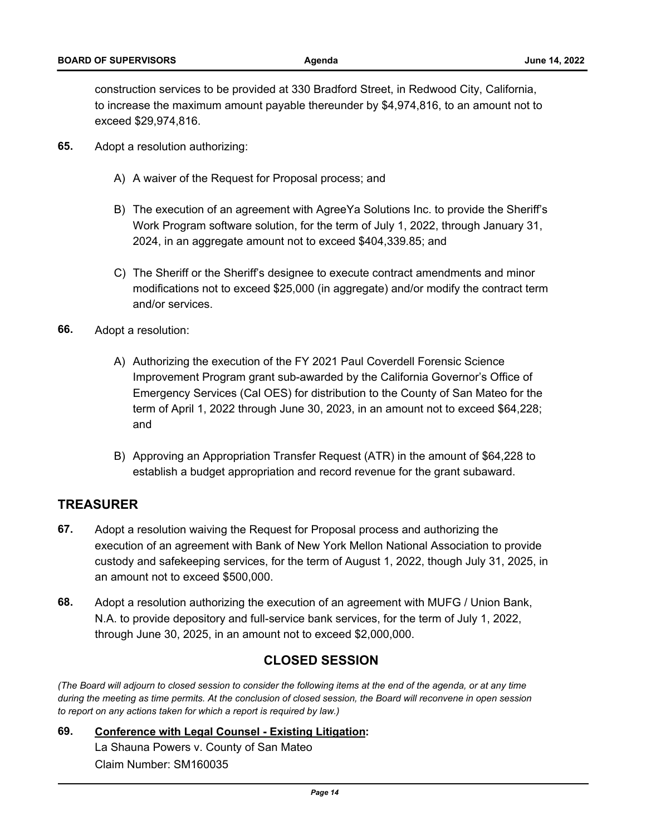construction services to be provided at 330 Bradford Street, in Redwood City, California, [to increase the maximum amount payable thereunder by \\$4,974,816, to an amount not to](http://sanmateocounty.legistar.com/gateway.aspx?m=l&id=/matter.aspx?key=89852)  exceed \$29,974,816.

- **65.** Adopt a resolution authorizing:
	- A) A waiver of the Request for Proposal process; and
	- B) The execution of an agreement with AgreeYa Solutions Inc. to provide the Sheriff's Work Program software solution, for the term of July 1, 2022, through January 31, 2024, in an aggregate amount not to exceed \$404,339.85; and
	- C) The Sheriff or the Sheriff's designee to execute contract amendments and minor [modifications not to exceed \\$25,000 \(in aggregate\) and/or modify the contract term](http://sanmateocounty.legistar.com/gateway.aspx?m=l&id=/matter.aspx?key=89873)  and/or services.
- **66.** Adopt a resolution:
	- A) Authorizing the execution of the FY 2021 Paul Coverdell Forensic Science Improvement Program grant sub-awarded by the California Governor's Office of [Emergency Services \(Cal OES\) for distribution to the County of San Mateo for the](http://sanmateocounty.legistar.com/gateway.aspx?m=l&id=/matter.aspx?key=89878)  term of April 1, 2022 through June 30, 2023, in an amount not to exceed \$64,228; and
	- B) Approving an Appropriation Transfer Request (ATR) in the amount of \$64,228 to establish a budget appropriation and record revenue for the grant subaward.

### **TREASURER**

- **67.** Adopt a resolution waiving the Request for Proposal process and authorizing the execution of an agreement with Bank of New York Mellon National Association to provide [custody and safekeeping services, for the term of August 1, 2022, though July 31, 2025, in](http://sanmateocounty.legistar.com/gateway.aspx?m=l&id=/matter.aspx?key=89295)  an amount not to exceed \$500,000.
- **68.** [Adopt a resolution authorizing the execution of an agreement with MUFG / Union Bank,](http://sanmateocounty.legistar.com/gateway.aspx?m=l&id=/matter.aspx?key=89296)  N.A. to provide depository and full-service bank services, for the term of July 1, 2022, through June 30, 2025, in an amount not to exceed \$2,000,000.

### **CLOSED SESSION**

*(The Board will adjourn to closed session to consider the following items at the end of the agenda, or at any time during the meeting as time permits. At the conclusion of closed session, the Board will reconvene in open session to report on any actions taken for which a report is required by law.)*

**69. [Conference with Legal Counsel - Existing Litigation:](http://sanmateocounty.legistar.com/gateway.aspx?m=l&id=/matter.aspx?key=89947)**  La Shauna Powers v. County of San Mateo Claim Number: SM160035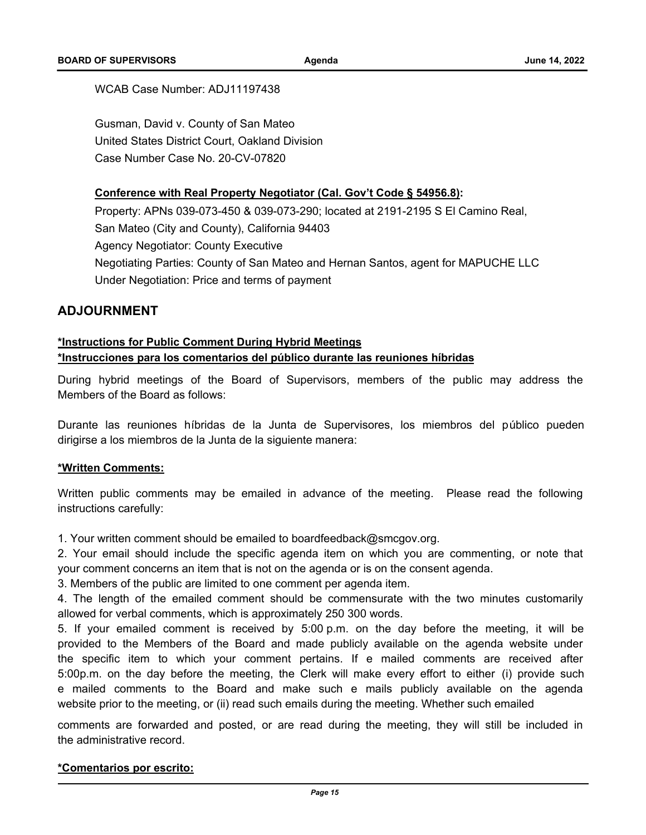#### WCAB Case Number: ADJ11197438

Gusman, David v. County of San Mateo United States District Court, Oakland Division Case Number Case No. 20-CV-07820

#### **Conference with Real Property Negotiator (Cal. Gov't Code § 54956.8):**

Property: APNs 039-073-450 & 039-073-290; located at 2191-2195 S El Camino Real, San Mateo (City and County), California 94403 Agency Negotiator: County Executive [Negotiating Parties: County of San Mateo and Hernan Santos, agent for MAPUCHE LLC](http://sanmateocounty.legistar.com/gateway.aspx?m=l&id=/matter.aspx?key=89947) Under Negotiation: Price and terms of payment

### **ADJOURNMENT**

#### **\*Instructions for Public Comment During Hybrid Meetings**

#### **\*Instrucciones para los comentarios del público durante las reuniones híbridas**

During hybrid meetings of the Board of Supervisors, members of the public may address the Members of the Board as follows:

Durante las reuniones híbridas de la Junta de Supervisores, los miembros del público pueden dirigirse a los miembros de la Junta de la siguiente manera:

#### **\*Written Comments:**

Written public comments may be emailed in advance of the meeting. Please read the following instructions carefully:

1. Your written comment should be emailed to boardfeedback@smcgov.org.

2. Your email should include the specific agenda item on which you are commenting, or note that your comment concerns an item that is not on the agenda or is on the consent agenda.

3. Members of the public are limited to one comment per agenda item.

4. The length of the emailed comment should be commensurate with the two minutes customarily allowed for verbal comments, which is approximately 250 300 words.

5. If your emailed comment is received by 5:00 p.m. on the day before the meeting, it will be provided to the Members of the Board and made publicly available on the agenda website under the specific item to which your comment pertains. If e mailed comments are received after 5:00p.m. on the day before the meeting, the Clerk will make every effort to either (i) provide such e mailed comments to the Board and make such e mails publicly available on the agenda website prior to the meeting, or (ii) read such emails during the meeting. Whether such emailed

comments are forwarded and posted, or are read during the meeting, they will still be included in the administrative record.

#### **\*Comentarios por escrito:**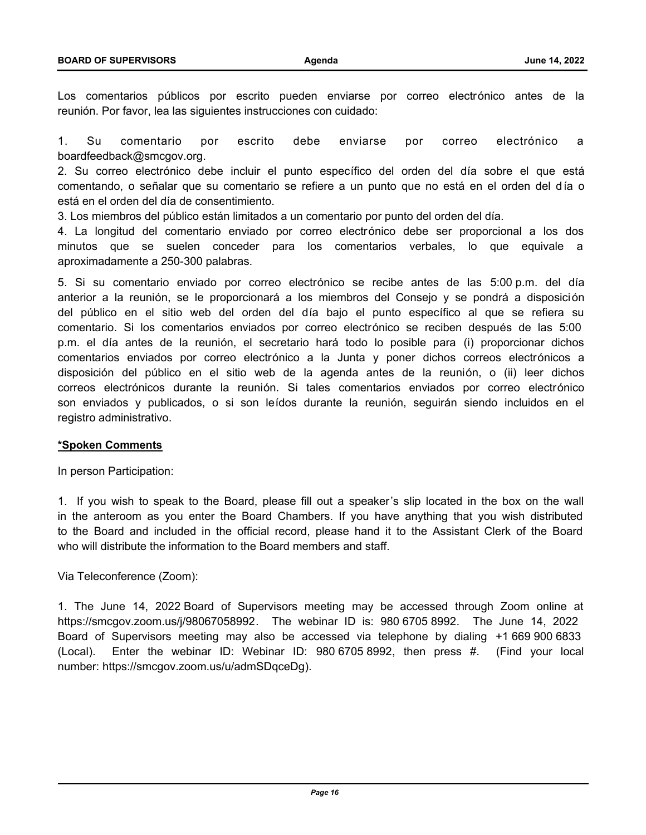Los comentarios públicos por escrito pueden enviarse por correo electrónico antes de la reunión. Por favor, lea las siguientes instrucciones con cuidado:

1. Su comentario por escrito debe enviarse por correo electrónico a boardfeedback@smcgov.org.

2. Su correo electrónico debe incluir el punto específico del orden del día sobre el que está comentando, o señalar que su comentario se refiere a un punto que no está en el orden del día o está en el orden del día de consentimiento.

3. Los miembros del público están limitados a un comentario por punto del orden del día.

4. La longitud del comentario enviado por correo electrónico debe ser proporcional a los dos minutos que se suelen conceder para los comentarios verbales, lo que equivale a aproximadamente a 250-300 palabras.

5. Si su comentario enviado por correo electrónico se recibe antes de las 5:00 p.m. del día anterior a la reunión, se le proporcionará a los miembros del Consejo y se pondrá a disposición del público en el sitio web del orden del día bajo el punto específico al que se refiera su comentario. Si los comentarios enviados por correo electrónico se reciben después de las 5:00 p.m. el día antes de la reunión, el secretario hará todo lo posible para (i) proporcionar dichos comentarios enviados por correo electrónico a la Junta y poner dichos correos electrónicos a disposición del público en el sitio web de la agenda antes de la reunión, o (ii) leer dichos correos electrónicos durante la reunión. Si tales comentarios enviados por correo electrónico son enviados y publicados, o si son leídos durante la reunión, seguirán siendo incluidos en el registro administrativo.

#### **\*Spoken Comments**

In person Participation:

1. If you wish to speak to the Board, please fill out a speaker's slip located in the box on the wall in the anteroom as you enter the Board Chambers. If you have anything that you wish distributed to the Board and included in the official record, please hand it to the Assistant Clerk of the Board who will distribute the information to the Board members and staff.

Via Teleconference (Zoom):

1. The June 14, 2022 Board of Supervisors meeting may be accessed through Zoom online at https://smcgov.zoom.us/j/98067058992. The webinar ID is: 980 6705 8992. The June 14, 2022 Board of Supervisors meeting may also be accessed via telephone by dialing +1 669 900 6833 (Local). Enter the webinar ID: Webinar ID: 980 6705 8992, then press #. (Find your local number: https://smcgov.zoom.us/u/admSDqceDg).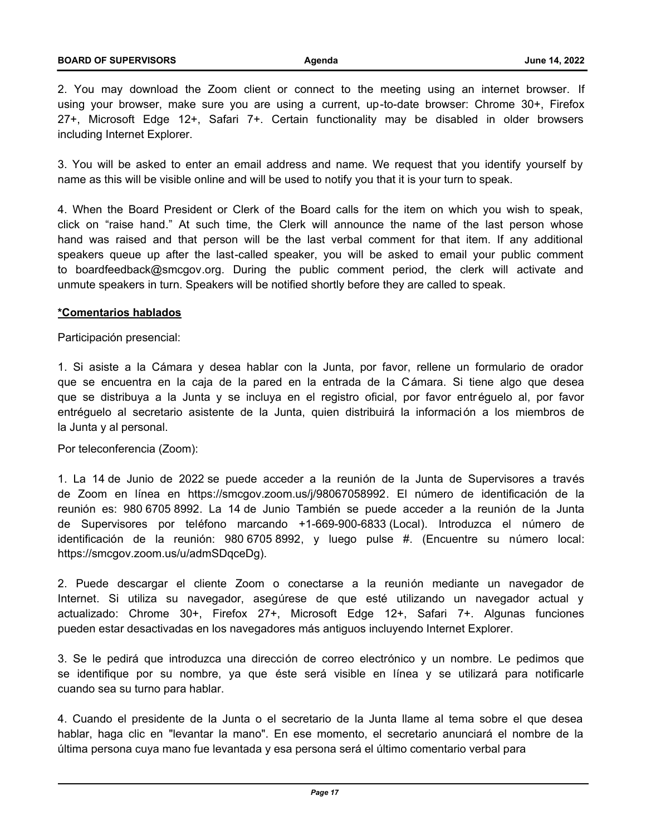2. You may download the Zoom client or connect to the meeting using an internet browser. If using your browser, make sure you are using a current, up-to-date browser: Chrome 30+, Firefox 27+, Microsoft Edge 12+, Safari 7+. Certain functionality may be disabled in older browsers including Internet Explorer.

3. You will be asked to enter an email address and name. We request that you identify yourself by name as this will be visible online and will be used to notify you that it is your turn to speak.

4. When the Board President or Clerk of the Board calls for the item on which you wish to speak, click on "raise hand." At such time, the Clerk will announce the name of the last person whose hand was raised and that person will be the last verbal comment for that item. If any additional speakers queue up after the last-called speaker, you will be asked to email your public comment to boardfeedback@smcgov.org. During the public comment period, the clerk will activate and unmute speakers in turn. Speakers will be notified shortly before they are called to speak.

### **\*Comentarios hablados**

#### Participación presencial:

1. Si asiste a la Cámara y desea hablar con la Junta, por favor, rellene un formulario de orador que se encuentra en la caja de la pared en la entrada de la Cámara. Si tiene algo que desea que se distribuya a la Junta y se incluya en el registro oficial, por favor entr éguelo al, por favor entréguelo al secretario asistente de la Junta, quien distribuirá la información a los miembros de la Junta y al personal.

#### Por teleconferencia (Zoom):

1. La 14 de Junio de 2022 se puede acceder a la reunión de la Junta de Supervisores a través de Zoom en línea en https://smcgov.zoom.us/j/98067058992. El número de identificación de la reunión es: 980 6705 8992. La 14 de Junio También se puede acceder a la reunión de la Junta de Supervisores por teléfono marcando +1-669-900-6833 (Local). Introduzca el número de identificación de la reunión: 980 6705 8992, y luego pulse #. (Encuentre su número local: https://smcgov.zoom.us/u/admSDqceDg).

2. Puede descargar el cliente Zoom o conectarse a la reunión mediante un navegador de Internet. Si utiliza su navegador, asegúrese de que esté utilizando un navegador actual y actualizado: Chrome 30+, Firefox 27+, Microsoft Edge 12+, Safari 7+. Algunas funciones pueden estar desactivadas en los navegadores más antiguos incluyendo Internet Explorer.

3. Se le pedirá que introduzca una dirección de correo electrónico y un nombre. Le pedimos que se identifique por su nombre, ya que éste será visible en línea y se utilizará para notificarle cuando sea su turno para hablar.

4. Cuando el presidente de la Junta o el secretario de la Junta llame al tema sobre el que desea hablar, haga clic en "levantar la mano". En ese momento, el secretario anunciará el nombre de la última persona cuya mano fue levantada y esa persona será el último comentario verbal para